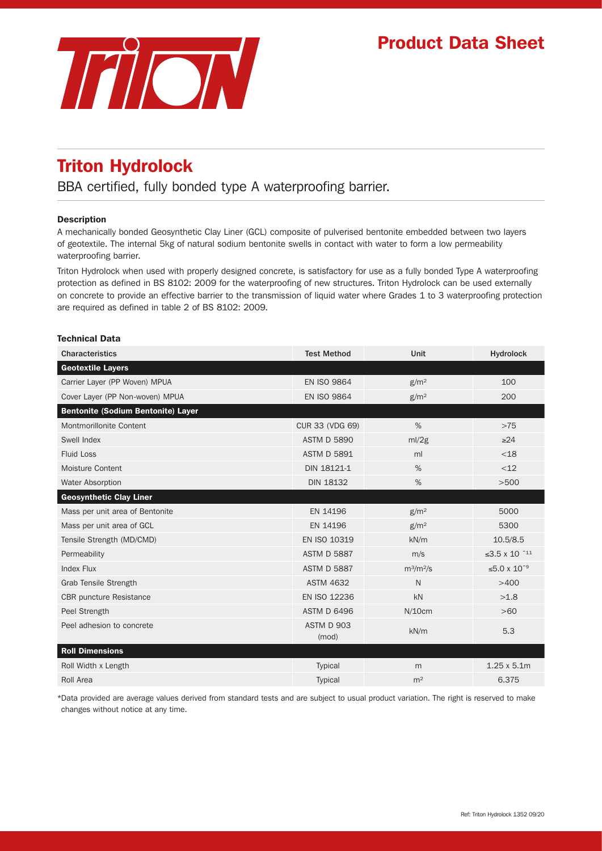## Product Data Sheet



# Triton Hydrolock

BBA certified, fully bonded type A waterproofing barrier.

### Description

A mechanically bonded Geosynthetic Clay Liner (GCL) composite of pulverised bentonite embedded between two layers of geotextile. The internal 5kg of natural sodium bentonite swells in contact with water to form a low permeability waterproofing barrier.

Triton Hydrolock when used with properly designed concrete, is satisfactory for use as a fully bonded Type A waterproofing protection as defined in BS 8102: 2009 for the waterproofing of new structures. Triton Hydrolock can be used externally on concrete to provide an effective barrier to the transmission of liquid water where Grades 1 to 3 waterproofing protection are required as defined in table 2 of BS 8102: 2009.

### Technical Data

| <b>Characteristics</b>                    | <b>Test Method</b>  | <b>Unit</b>      | <b>Hydrolock</b>   |
|-------------------------------------------|---------------------|------------------|--------------------|
| <b>Geotextile Layers</b>                  |                     |                  |                    |
| Carrier Layer (PP Woven) MPUA             | <b>EN ISO 9864</b>  | g/m <sup>2</sup> | 100                |
| Cover Layer (PP Non-woven) MPUA           | <b>EN ISO 9864</b>  | g/m <sup>2</sup> | 200                |
| <b>Bentonite (Sodium Bentonite) Layer</b> |                     |                  |                    |
| Montmorillonite Content                   | CUR 33 (VDG 69)     | %                | $>75$              |
| Swell Index                               | <b>ASTM D 5890</b>  | ml/2g            | $\geq$ 24          |
| <b>Fluid Loss</b>                         | <b>ASTM D 5891</b>  | ml               | $<$ 18             |
| Moisture Content                          | DIN 18121-1         | $\%$             | $<$ 12             |
| Water Absorption                          | <b>DIN 18132</b>    | $\%$             | >500               |
| <b>Geosynthetic Clay Liner</b>            |                     |                  |                    |
| Mass per unit area of Bentonite           | EN 14196            | g/m <sup>2</sup> | 5000               |
| Mass per unit area of GCL                 | EN 14196            | g/m <sup>2</sup> | 5300               |
| Tensile Strength (MD/CMD)                 | EN ISO 10319        | kN/m             | 10.5/8.5           |
| Permeability                              | <b>ASTM D 5887</b>  | m/s              | ≤3.5 x 10 $^{-11}$ |
| <b>Index Flux</b>                         | <b>ASTM D 5887</b>  | $m^3/m^2/s$      | ≤5.0 x $10^{-9}$   |
| <b>Grab Tensile Strength</b>              | <b>ASTM 4632</b>    | $\mathsf{N}$     | >400               |
| <b>CBR</b> puncture Resistance            | EN ISO 12236        | kN               | >1.8               |
| Peel Strength                             | <b>ASTM D 6496</b>  | N/10cm           | >60                |
| Peel adhesion to concrete                 | ASTM D 903<br>(mod) | kN/m             | 5.3                |
| <b>Roll Dimensions</b>                    |                     |                  |                    |
| Roll Width x Length                       | Typical             | m                | $1.25 \times 5.1m$ |
| Roll Area                                 | <b>Typical</b>      | m <sup>2</sup>   | 6.375              |

\*Data provided are average values derived from standard tests and are subject to usual product variation. The right is reserved to make changes without notice at any time.